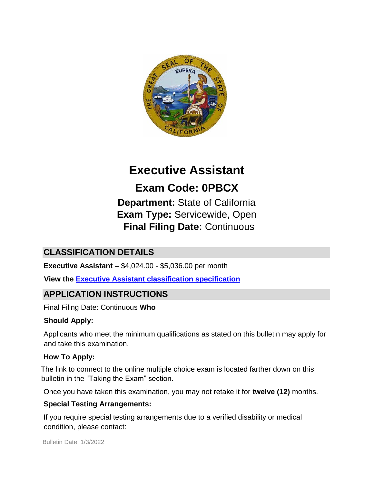

# **Executive Assistant**

# **Exam Code: 0PBCX**

**Department:** State of California **Exam Type:** Servicewide, Open **Final Filing Date:** Continuous

# **CLASSIFICATION DETAILS**

**Executive Assistant –** \$4,024.00 - \$5,036.00 per month

**View the [Executive Assistant classification specification](https://www.calhr.ca.gov/state-hr-professionals/pages/1728.aspx)**

# **APPLICATION INSTRUCTIONS**

Final Filing Date: Continuous **Who** 

## **Should Apply:**

Applicants who meet the minimum qualifications as stated on this bulletin may apply for and take this examination.

## **How To Apply:**

The link to connect to the online multiple choice exam is located farther down on this bulletin in the "Taking the Exam" section.

Once you have taken this examination, you may not retake it for **twelve (12)** months.

## **Special Testing Arrangements:**

If you require special testing arrangements due to a verified disability or medical condition, please contact: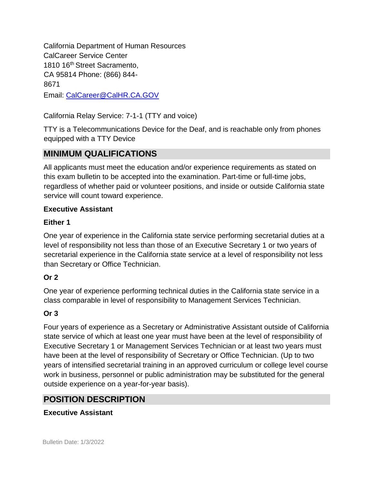California Department of Human Resources CalCareer Service Center 1810 16<sup>th</sup> Street Sacramento, CA 95814 Phone: (866) 844- 8671 Email: CalCareer@CalHR.CA.GOV

California Relay Service: 7-1-1 (TTY and voice)

TTY is a Telecommunications Device for the Deaf, and is reachable only from phones equipped with a TTY Device

# **MINIMUM QUALIFICATIONS**

All applicants must meet the education and/or experience requirements as stated on this exam bulletin to be accepted into the examination. Part-time or full-time jobs, regardless of whether paid or volunteer positions, and inside or outside California state service will count toward experience.

## **Executive Assistant**

## **Either 1**

One year of experience in the California state service performing secretarial duties at a level of responsibility not less than those of an Executive Secretary 1 or two years of secretarial experience in the California state service at a level of responsibility not less than Secretary or Office Technician.

## **Or 2**

One year of experience performing technical duties in the California state service in a class comparable in level of responsibility to Management Services Technician.

## **Or 3**

Four years of experience as a Secretary or Administrative Assistant outside of California state service of which at least one year must have been at the level of responsibility of Executive Secretary 1 or Management Services Technician or at least two years must have been at the level of responsibility of Secretary or Office Technician. (Up to two years of intensified secretarial training in an approved curriculum or college level course work in business, personnel or public administration may be substituted for the general outside experience on a year-for-year basis).

# **POSITION DESCRIPTION**

## **Executive Assistant**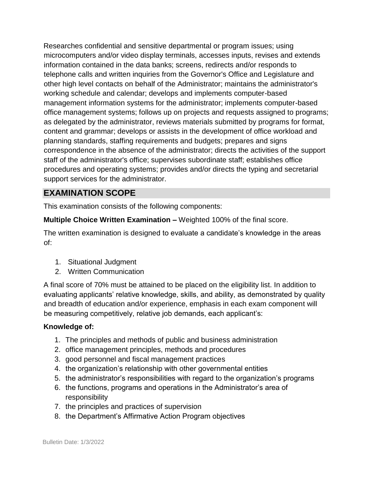Researches confidential and sensitive departmental or program issues; using microcomputers and/or video display terminals, accesses inputs, revises and extends information contained in the data banks; screens, redirects and/or responds to telephone calls and written inquiries from the Governor's Office and Legislature and other high level contacts on behalf of the Administrator; maintains the administrator's working schedule and calendar; develops and implements computer-based management information systems for the administrator; implements computer-based office management systems; follows up on projects and requests assigned to programs; as delegated by the administrator, reviews materials submitted by programs for format, content and grammar; develops or assists in the development of office workload and planning standards, staffing requirements and budgets; prepares and signs correspondence in the absence of the administrator; directs the activities of the support staff of the administrator's office; supervises subordinate staff; establishes office procedures and operating systems; provides and/or directs the typing and secretarial support services for the administrator.

## **EXAMINATION SCOPE**

This examination consists of the following components:

**Multiple Choice Written Examination –** Weighted 100% of the final score.

The written examination is designed to evaluate a candidate's knowledge in the areas of:

- 1. Situational Judgment
- 2. Written Communication

A final score of 70% must be attained to be placed on the eligibility list. In addition to evaluating applicants' relative knowledge, skills, and ability, as demonstrated by quality and breadth of education and/or experience, emphasis in each exam component will be measuring competitively, relative job demands, each applicant's:

## **Knowledge of:**

- 1. The principles and methods of public and business administration
- 2. office management principles, methods and procedures
- 3. good personnel and fiscal management practices
- 4. the organization's relationship with other governmental entities
- 5. the administrator's responsibilities with regard to the organization's programs
- 6. the functions, programs and operations in the Administrator's area of responsibility
- 7. the principles and practices of supervision
- 8. the Department's Affirmative Action Program objectives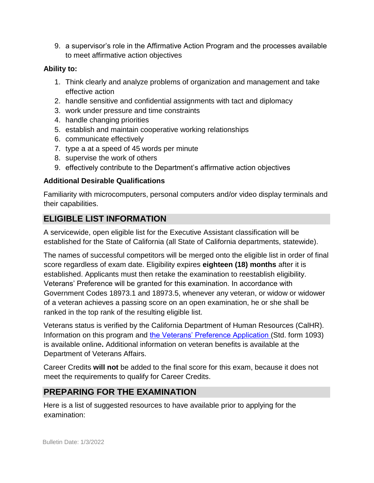9. a supervisor's role in the Affirmative Action Program and the processes available to meet affirmative action objectives

## **Ability to:**

- 1. Think clearly and analyze problems of organization and management and take effective action
- 2. handle sensitive and confidential assignments with tact and diplomacy
- 3. work under pressure and time constraints
- 4. handle changing priorities
- 5. establish and maintain cooperative working relationships
- 6. communicate effectively
- 7. type a at a speed of 45 words per minute
- 8. supervise the work of others
- 9. effectively contribute to the Department's affirmative action objectives

## **Additional Desirable Qualifications**

Familiarity with microcomputers, personal computers and/or video display terminals and their capabilities.

# **ELIGIBLE LIST INFORMATION**

A servicewide, open eligible list for the Executive Assistant classification will be established for the State of California (all State of California departments, statewide).

The names of successful competitors will be merged onto the eligible list in order of final score regardless of exam date. Eligibility expires **eighteen (18) months** after it is established. Applicants must then retake the examination to reestablish eligibility. Veterans' Preference will be granted for this examination. In accordance with Government Codes 18973.1 and 18973.5, whenever any veteran, or widow or widower of a veteran achieves a passing score on an open examination, he or she shall be ranked in the top rank of the resulting eligible list.

Veterans status is verified by the California Department of Human Resources (CalHR). Information on this program and [the Veterans' Preference Application \(S](https://www.jobs.ca.gov/CalHRPublic/Landing/Jobs/VeteransInformation.aspx)td. form 1093) is available online**.** Additional information on veteran benefits is available at the Department of Veterans Affairs.

Career Credits **will not** be added to the final score for this exam, because it does not meet the requirements to qualify for Career Credits.

# **PREPARING FOR THE EXAMINATION**

Here is a list of suggested resources to have available prior to applying for the examination: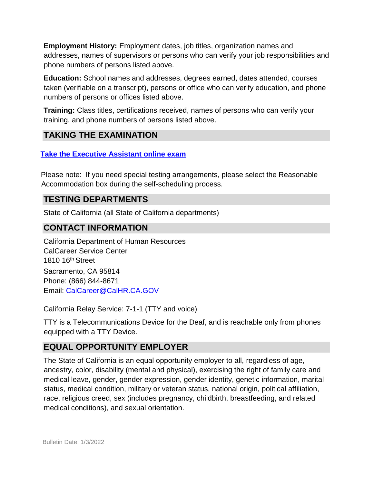**Employment History:** Employment dates, job titles, organization names and addresses, names of supervisors or persons who can verify your job responsibilities and phone numbers of persons listed above.

**Education:** School names and addresses, degrees earned, dates attended, courses taken (verifiable on a transcript), persons or office who can verify education, and phone numbers of persons or offices listed above.

**Training:** Class titles, certifications received, names of persons who can verify your training, and phone numbers of persons listed above.

# **TAKING THE EXAMINATION**

**[Take the Executive Assistant](https://www.jobs.ca.gov/CalHRPublic/Login.aspx?ExamId=0PBCX) [online exam](https://www.jobs.ca.gov/CalHRPublic/Login.aspx?ExamId=0PBCX)** 

Please note: If you need special testing arrangements, please select the Reasonable Accommodation box during the self-scheduling process.

## **TESTING DEPARTMENTS**

State of California (all State of California departments)

## **CONTACT INFORMATION**

California Department of Human Resources CalCareer Service Center 1810 16th Street Sacramento, CA 95814 Phone: (866) 844-8671 Email: CalCareer@CalHR.CA.GOV

California Relay Service: 7-1-1 (TTY and voice)

TTY is a Telecommunications Device for the Deaf, and is reachable only from phones equipped with a TTY Device.

# **EQUAL OPPORTUNITY EMPLOYER**

The State of California is an equal opportunity employer to all, regardless of age, ancestry, color, disability (mental and physical), exercising the right of family care and medical leave, gender, gender expression, gender identity, genetic information, marital status, medical condition, military or veteran status, national origin, political affiliation, race, religious creed, sex (includes pregnancy, childbirth, breastfeeding, and related medical conditions), and sexual orientation.